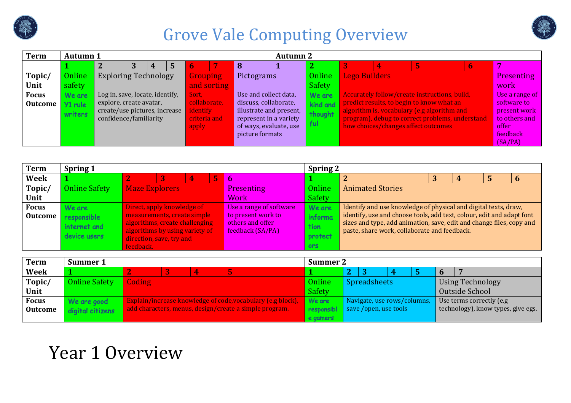



| <b>Term</b>    | <b>Autumn 1</b> |                                                         |   |   |                         |                 |                                                   | <b>Autumn 2</b> |          |                      |                                                                                                |             |                               |
|----------------|-----------------|---------------------------------------------------------|---|---|-------------------------|-----------------|---------------------------------------------------|-----------------|----------|----------------------|------------------------------------------------------------------------------------------------|-------------|-------------------------------|
|                |                 |                                                         | 3 | 5 |                         |                 |                                                   |                 |          |                      |                                                                                                | $\mathbf b$ |                               |
| Topic/         | Online          | <b>Exploring Technology</b>                             |   |   | <b>Grouping</b>         |                 | Pictograms                                        |                 | Online   | <b>Lego Builders</b> |                                                                                                |             | <b>Presenting</b>             |
| Unit           | safety          |                                                         |   |   |                         | and sorting     |                                                   |                 | Safety   |                      |                                                                                                |             | work                          |
| <b>Focus</b>   | We are          | Log in, save, locate, identify,                         |   |   | Sort. .                 |                 | Use and collect data,                             |                 | We are   |                      | Accurately follow/create instructions, build,                                                  |             | Use a range of                |
| <b>Outcome</b> | Y1 rule         | explore, create avatar,                                 |   |   | collaborate,            |                 | discuss, collaborate,                             |                 | kind and |                      | predict results, to begin to know what an                                                      |             | software to                   |
|                | writers         | create/use pictures, increase<br>confidence/familiarity |   |   | dentify<br>criteria and |                 | illustrate and present,<br>represent in a variety |                 | thought  |                      | algorithm is, vocabulary (e.g algorithm and<br>program), debug to correct problems, understand |             | present work<br>to others and |
|                |                 |                                                         |   |   | apply                   |                 | of ways, evaluate, use                            |                 | ful      |                      | how choices/changes affect outcomes                                                            |             | offer                         |
|                |                 |                                                         |   |   |                         | picture formats |                                                   |                 |          |                      |                                                                                                | feedback    |                               |
|                |                 |                                                         |   |   |                         |                 |                                                   |                 |          |                      |                                                                                                |             | (SA/PA)                       |

| <b>Term</b>    | <b>Spring 1</b>      |                                |  |  |  |                         | <b>Spring 2</b> |                                                                       |  |  |
|----------------|----------------------|--------------------------------|--|--|--|-------------------------|-----------------|-----------------------------------------------------------------------|--|--|
| Week           |                      | 5<br>4                         |  |  |  | <b>b</b>                |                 | L                                                                     |  |  |
| Topic/         | <b>Online Safety</b> | <b>Maze Explorers</b>          |  |  |  | Presenting              | Online          | <b>Animated Stories</b>                                               |  |  |
| Unit           |                      |                                |  |  |  | Work                    | Safety          |                                                                       |  |  |
| <b>Focus</b>   | We are               | Direct, apply knowledge of     |  |  |  | Use a range of software | We are          | Identify and use knowledge of physical and digital texts, draw,       |  |  |
| <b>Outcome</b> | responsible          | measurements, create simple    |  |  |  | to present work to      | informa         | identify, use and choose tools, add text, colour, edit and adapt font |  |  |
|                | internet and         | algorithms, create challenging |  |  |  | others and offer        | tion            | sizes and type, add animation, save, edit and change files, copy and  |  |  |
|                |                      | algorithms by using variety of |  |  |  | feedback (SA/PA)        |                 | paste, share work, collaborate and feedback.                          |  |  |
|                | device users         | direction, save, try and       |  |  |  |                         | protect         |                                                                       |  |  |
|                |                      | feedback.                      |  |  |  |                         | ors             |                                                                       |  |  |

| <b>Term</b>    | Summer 1             |               |   |                                                             | <b>Summer 2</b> |   |                             |  |   |                                    |
|----------------|----------------------|---------------|---|-------------------------------------------------------------|-----------------|---|-----------------------------|--|---|------------------------------------|
| <b>Week</b>    |                      |               | 4 |                                                             |                 | റ |                             |  | 6 |                                    |
| Topic/         | <b>Online Safety</b> | <b>Coding</b> |   |                                                             | Online          |   | <b>Spreadsheets</b>         |  |   | Using Technology                   |
| Unit           |                      |               |   |                                                             | Safety          |   |                             |  |   | Outside School                     |
| <b>Focus</b>   | We are good          |               |   | Explain/increase knowledge of code, vocabulary (e.g block), | We are          |   | Navigate, use rows/columns, |  |   | Use terms correctly (e.g)          |
| <b>Outcome</b> | digital citizens     |               |   | add characters, menus, design/create a simple program.      | responsibl      |   | save /open, use tools       |  |   | technology), know types, give egs. |
|                |                      |               |   |                                                             | e gamers        |   |                             |  |   |                                    |

# Year 1 Overview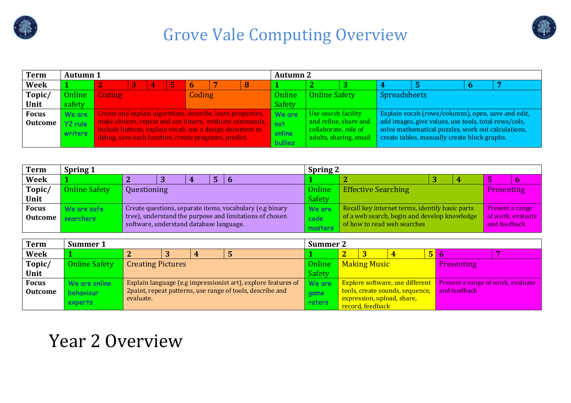



| <b>Term</b>    | <b>Autumn</b> 1 |                                                                                                                  |  |    |  |             |                                                            |   | <b>Autumn 2</b> |                      |                        |                     |                                                                                                    |  |
|----------------|-----------------|------------------------------------------------------------------------------------------------------------------|--|----|--|-------------|------------------------------------------------------------|---|-----------------|----------------------|------------------------|---------------------|----------------------------------------------------------------------------------------------------|--|
| Week           |                 |                                                                                                                  |  | Д. |  | $\mathbf b$ |                                                            | 8 |                 |                      |                        |                     |                                                                                                    |  |
| Topic/         | Online          | <b>Coding</b>                                                                                                    |  |    |  | Coding      |                                                            |   | Online          | <b>Online Safety</b> |                        | <b>Spreadsheets</b> |                                                                                                    |  |
| Unit           | safety          |                                                                                                                  |  |    |  |             |                                                            |   | Safety          |                      |                        |                     |                                                                                                    |  |
| <b>Focus</b>   | We are          |                                                                                                                  |  |    |  |             | Create and explain algorithms, describe, learn properties, |   | We are          | Use search facility  |                        |                     | Explain vocab (rows/columns), open, save and edit,                                                 |  |
| <b>Outcome</b> | Y2 rule         | make choices, repeat and use timers, evaluate commands,                                                          |  |    |  |             |                                                            |   | not             |                      | and refine, share and  |                     | add images, give values, use tools, total rows/cols,                                               |  |
|                | writers         | include buttons, explain vocab, use a design document to<br>debug, save each function, create programs, predict. |  |    |  |             |                                                            |   | online          | collaborate, role of | adults, sharing, email |                     | solve mathematical puzzles, work out calculations,<br>create tables, manually create block graphs. |  |
|                |                 |                                                                                                                  |  |    |  |             |                                                            |   | <b>bullies</b>  |                      |                        |                     |                                                                                                    |  |

| <b>Term</b>    | <b>Spring 1</b>      |                                         |   |                                                          | <b>Spring 2</b> |                                                 |  |                   |                   |
|----------------|----------------------|-----------------------------------------|---|----------------------------------------------------------|-----------------|-------------------------------------------------|--|-------------------|-------------------|
| Week           |                      |                                         | 4 |                                                          |                 | -                                               |  |                   |                   |
| Topic/         | <b>Online Safety</b> | Questioning                             |   |                                                          | Online          | <b>Effective Searching</b>                      |  | <b>Presenting</b> |                   |
| Unit           |                      |                                         |   |                                                          | Safety          |                                                 |  |                   |                   |
| <b>Focus</b>   | We are safe          |                                         |   | Create questions, separate items, vocabulary (e.g binary | We are          | Recall key internet terms, identify basic parts |  | Present a range   |                   |
| <b>Outcome</b> | searchers            |                                         |   | tree), understand the purpose and limitations of chosen  | code            | of a web search, begin and develop knowledge    |  |                   | of work, evaluate |
|                |                      | software, understand database language. |   |                                                          | masters         | of how to read web searches                     |  | and feedback      |                   |

| <b>Term</b>    | Summer 1             |                          |   |                                                               | <b>Summer 2</b>       |                |                  |                                 |   |                                                                   |          |
|----------------|----------------------|--------------------------|---|---------------------------------------------------------------|-----------------------|----------------|------------------|---------------------------------|---|-------------------------------------------------------------------|----------|
| <b>Week</b>    |                      | 4                        | 4 |                                                               |                       | $\overline{2}$ |                  |                                 | 5 | o                                                                 | <b>P</b> |
| Topic/         | <b>Online Safety</b> | <b>Creating Pictures</b> |   |                                                               | Online   Making Music |                |                  |                                 |   | <b>Presenting</b>                                                 |          |
| Unit           |                      |                          |   |                                                               | Safety                |                |                  |                                 |   |                                                                   |          |
| <b>Focus</b>   | We are online        |                          |   | Explain language (e.g impressionist art), explore features of | We are                |                |                  |                                 |   | Explore software, use different Present a range of work, evaluate |          |
| <b>Outcome</b> | <b>behaviour</b>     |                          |   | 2 paint, repeat patterns, use range of tools, describe and    | game                  |                |                  | tools, create sounds, sequence, |   | and feedback                                                      |          |
|                | <b>experts</b>       | evaluate.                |   |                                                               | raters                |                |                  | expression, upload, share,      |   |                                                                   |          |
|                |                      |                          |   |                                                               |                       |                | record, feedback |                                 |   |                                                                   |          |

### Year 2 Overview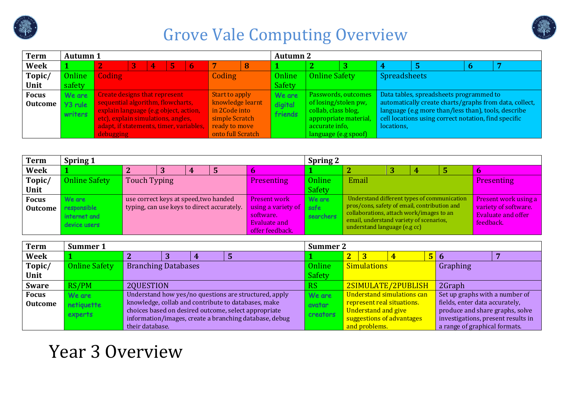



| <b>Term</b>    | <b>Autumn 1</b> |                                         |   |   |   |   |                   |   | <b>Autumn 2</b> |                      |                       |                     |                                                        |  |
|----------------|-----------------|-----------------------------------------|---|---|---|---|-------------------|---|-----------------|----------------------|-----------------------|---------------------|--------------------------------------------------------|--|
| <b>Week</b>    |                 |                                         | 3 | 4 | 5 | 6 |                   | 8 |                 |                      |                       |                     |                                                        |  |
| Topic/         | Online          | Coding                                  |   |   |   |   | Coding            |   | Online          | <b>Online Safety</b> |                       | <b>Spreadsheets</b> |                                                        |  |
| Unit           | safety          |                                         |   |   |   |   |                   |   | Safety          |                      |                       |                     |                                                        |  |
| <b>Focus</b>   | We are          | Create designs that represent           |   |   |   |   | Start to apply    |   | We are          |                      | Passwords, outcomes   |                     | Data tables, spreadsheets programmed to                |  |
| <b>Outcome</b> | Y3 rule         | sequential algorithm, flowcharts,       |   |   |   |   | knowledge learnt  |   | digital         | of losing/stolen pw, |                       |                     | automatically create charts/graphs from data, collect, |  |
|                | writers         | explain language (e.g object, action,   |   |   |   |   | in 2Code into     |   | friends         | collab, class blog,  |                       |                     | language (e.g more than/less than), tools, describe    |  |
|                |                 | etc), explain simulations, angles,      |   |   |   |   | simple Scratch    |   |                 |                      | appropriate material, |                     | cell locations using correct notation, find specific   |  |
|                |                 | adapt, if statements, timer, variables, |   |   |   |   | ready to move     |   |                 | accurate info,       |                       | locations,          |                                                        |  |
|                |                 | debugging                               |   |   |   |   | onto full Scratch |   |                 | language (e.g spoof) |                       |                     |                                                        |  |

| Presenting                |
|---------------------------|
|                           |
| Present work using a      |
| variety of software.      |
| <b>Evaluate and offer</b> |
| feedback.                 |
|                           |

| <b>Term</b>    | Summer 1             |                            |  |                                                        | <b>Summer 2</b> |                |                         |                            |                                    |
|----------------|----------------------|----------------------------|--|--------------------------------------------------------|-----------------|----------------|-------------------------|----------------------------|------------------------------------|
| Week           |                      |                            |  |                                                        |                 | $\overline{2}$ | $\overline{\mathbf{3}}$ |                            | $5 \vert 6$                        |
| Topic/         | <b>Online Safety</b> | <b>Branching Databases</b> |  |                                                        | Online          |                | <b>Simulations</b>      |                            | Graphing                           |
| Unit           |                      |                            |  |                                                        | Safety          |                |                         |                            |                                    |
| <b>Sware</b>   | RS/PM                | 2QUESTION                  |  |                                                        | <b>RS</b>       |                |                         | 2SIMULATE/2PUBLISH         | 2Graph                             |
| <b>Focus</b>   | We are               |                            |  | Understand how yes/no questions are structured, apply  | We are          |                |                         | Understand simulations can | Set up graphs with a number of     |
| <b>Outcome</b> | netiquette           |                            |  | knowledge, collab and contribute to databases, make    | avatar          |                |                         | represent real situations. | fields, enter data accurately,     |
|                | experts              |                            |  | choices based on desired outcome, select appropriate   | <b>creators</b> |                | Understand and give     |                            | produce and share graphs, solve    |
|                |                      |                            |  | information/images, create a branching database, debug |                 |                |                         | suggestions of advantages  | investigations, present results in |
|                |                      | their database.            |  |                                                        |                 |                | and problems.           |                            | a range of graphical formats.      |

# Year 3 Overview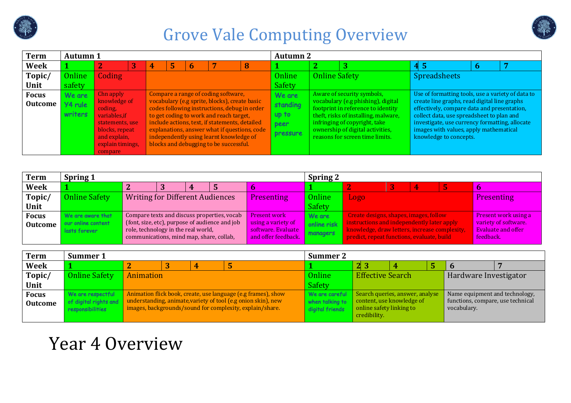



| <b>Term</b>    | <b>Spring 1</b>      |                                                                                 |   |   |                                                |                                           | <b>Spring 2</b> |                                                                                             |  |                                        |
|----------------|----------------------|---------------------------------------------------------------------------------|---|---|------------------------------------------------|-------------------------------------------|-----------------|---------------------------------------------------------------------------------------------|--|----------------------------------------|
| <b>Week</b>    |                      |                                                                                 | 3 | 4 |                                                |                                           |                 |                                                                                             |  |                                        |
| Topic/         | <b>Online Safety</b> | <b>Writing for Different Audiences</b>                                          |   |   |                                                | Presenting                                | Online          | Logo                                                                                        |  | Presenting                             |
| Unit           |                      |                                                                                 |   |   |                                                |                                           | Safety          |                                                                                             |  |                                        |
| <b>Focus</b>   | We are aware that    |                                                                                 |   |   | Compare texts and discuss properties, vocab    | <b>Present work</b>                       | We are          | Create designs, shapes, images, follow                                                      |  | <b>Present work using a</b>            |
| <b>Outcome</b> | our online content   |                                                                                 |   |   | (font, size, etc), purpose of audience and job | using a variety of                        | online risk     | instructions and independently later apply                                                  |  | variety of software.                   |
|                | lasts forever        | role, technology in the real world,<br>communications, mind map, share, collab, |   |   |                                                | software. Evaluate<br>and offer feedback. | managers        | knowledge, draw letters, increase complexity,<br>predict, repeat functions, evaluate, build |  | <b>Evaluate and offer</b><br>feedback. |

| <b>Term</b>    | Summer 1              |           |   |                                                                                                                           | Summer 2        |                          |                                 |                                                  |  |
|----------------|-----------------------|-----------|---|---------------------------------------------------------------------------------------------------------------------------|-----------------|--------------------------|---------------------------------|--------------------------------------------------|--|
| <b>Week</b>    |                       |           | 4 |                                                                                                                           |                 | $2 \vert 3$              |                                 |                                                  |  |
| Topic/         | <b>Online Safety</b>  | Animation |   |                                                                                                                           | Online          | <b>Effective Search</b>  |                                 | Hardware Investigator                            |  |
| Unit           |                       |           |   |                                                                                                                           | Safety          |                          |                                 |                                                  |  |
| <b>Focus</b>   | We are respectful     |           |   | Animation flick book, create, use language (e.g frames), show                                                             | We are careful  |                          | Search queries, answer, analyse | Name equipment and technology,                   |  |
| <b>Outcome</b> | of digital rights and |           |   | understanding, animate, variety of tool (e.g onion skin), new<br>images, backgrounds/sound for complexity, explain/share. | when talking to | online safety linking to | content, use knowledge of       | functions, compare, use technical<br>vocabulary. |  |
|                | responsibilities      |           |   |                                                                                                                           | digital friends | credibility.             |                                 |                                                  |  |

### Year 4 Overview

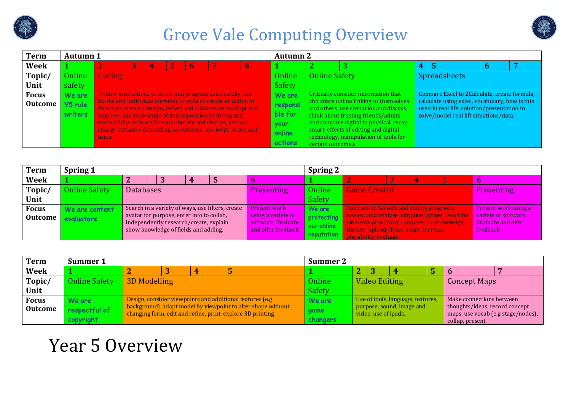



| <b>Term</b>    | <b>Spring 1</b>      |                                                                                     |   |                                                  |                                          | <b>Spring 2</b> |                                                                                            |  |                                                   |
|----------------|----------------------|-------------------------------------------------------------------------------------|---|--------------------------------------------------|------------------------------------------|-----------------|--------------------------------------------------------------------------------------------|--|---------------------------------------------------|
| <b>Week</b>    |                      |                                                                                     | 4 |                                                  |                                          |                 |                                                                                            |  |                                                   |
| Topic/         | <b>Online Safety</b> | <b>Databases</b>                                                                    |   |                                                  | Presenting                               | Online          | <b>Game Creator</b>                                                                        |  | Presenting                                        |
| Unit           |                      |                                                                                     |   |                                                  |                                          | Safety          |                                                                                            |  |                                                   |
| <b>Focus</b>   | We are content       |                                                                                     |   | Search in a variety of ways, use filters, create | <b>Present work</b>                      | We are          | Compare to Scratch and coding programs,                                                    |  | Present work using a                              |
| <b>Outcome</b> | evaluators           | avatar for purpose, enter info to collab,<br>independently research/create, explain |   |                                                  | using a variety of<br>software. Evaluate | protecting      | Review and analyse computer games. Describe<br>elements pros/cons, compare, o.s knowledge, |  | variety of software.<br><b>Evaluate and offer</b> |
|                |                      | show knowledge of fields and adding.                                                |   |                                                  | and offer feedback.                      | our online      | themes, upload/draw, adapt, increase                                                       |  | feedback.                                         |
|                |                      |                                                                                     |   |                                                  |                                          | reputation      | playability, evaluate                                                                      |  |                                                   |

| Term           | Summer 1                   | <b>Summer 2</b>     |  |  |                                                                                                                            |                  |                                                   |               |   |  |                                                                                         |  |  |
|----------------|----------------------------|---------------------|--|--|----------------------------------------------------------------------------------------------------------------------------|------------------|---------------------------------------------------|---------------|---|--|-----------------------------------------------------------------------------------------|--|--|
| <b>Week</b>    |                            | 4<br>-5             |  |  |                                                                                                                            |                  | $\overline{2}$                                    |               | 4 |  | ю                                                                                       |  |  |
| Topic/         | <b>Online Safety</b>       | <b>3D Modelling</b> |  |  |                                                                                                                            | Online           |                                                   | Video Editing |   |  | <b>Concept Maps</b>                                                                     |  |  |
| Unit           |                            |                     |  |  |                                                                                                                            | Safety           |                                                   |               |   |  |                                                                                         |  |  |
| <b>Focus</b>   | We are                     |                     |  |  | Design, consider viewpoints and additional features (e.g.                                                                  | We are           | Use of tools, language, features,                 |               |   |  | Make connections between                                                                |  |  |
| <b>Outcome</b> | respectful of<br>copyright |                     |  |  | background), adapt model by viewpoint to alter shape without<br>changing form, edit and refine, print, explore 3D printing | game<br>changers | purpose, sound, image and<br>video, use of ipads, |               |   |  | thoughts/ideas, record concept<br>maps, use vocab (e.g stage/nodes),<br>collap, present |  |  |

## Year 5 Overview